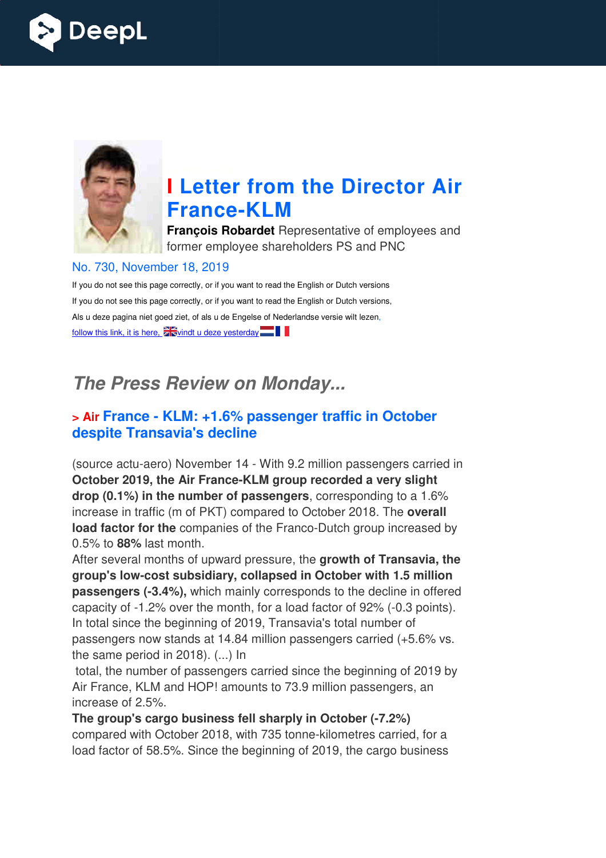



# **I Letter from the Director Air France France-KLM**

**François Robardet** Representative of employees and former employee shareholders PS and PNC

#### No. 730, November 18, 2019

If you do not see this page correctly, or if you want to read the English or Dutch versions If you do not see this page correctly, or if you want to read the English or Dutch versions, Als u deze pagina niet goed ziet, of als u de Engelse of Nederlandse versie wilt lezen, follow this link, it is here,  $\sum_{n=1}^{\infty}$  vindt u deze yesterday

# *The Press Review on Monday...*

#### **> Air France - KLM: +1.6% passenger traffic in October despite Transavia's decline**

(source actu-aero) November 14 - With 9.2 million passengers carried in **October 2019, the Air France France-KLM group recorded a very slight drop (0.1%) in the number of passengers** , corresponding to a 1.6% increase in traffic (m of PKT) compared to October 2018. The **overall** load factor for the companies of the Franco-Dutch group increased by 0.5% to **88%** last month.

After several months of upward pressure, the **growth of Transavia, the**  group's low-cost subsidiary, collapsed in October with 1.5 million **passengers (-3.4%),** which mainly corresponds to the decline in offered capacity of -1.2% over the month, for a load factor of 92% (-0.3 points). In total since the beginning of 2019, Transavia's total number of passengers now stands at 14.84 million passengers carried (+5.6% vs. the same period in 2018). (...) In Franco-Dutch group increarie, the **growth of Transally sed in October with 1.5 i**<br>responds to the decline in a load factor of 92% (-0.3<br>ansavia's total number of<br>n passengers carried (+5<br>ed since the beginning of  $\alpha$ <br>73.

total, the number of passengers carried since the beginning of 2019 by Air France, KLM and HOP! amounts to 73.9 million passengers, an increase of 2.5%.

**The group's cargo business fell sh sharply in October (-7.2%)** compared with October 2018, with 735 tonne-kilometres carried, for a load factor of 58.5%. Since the beginning of 2019, the cargo business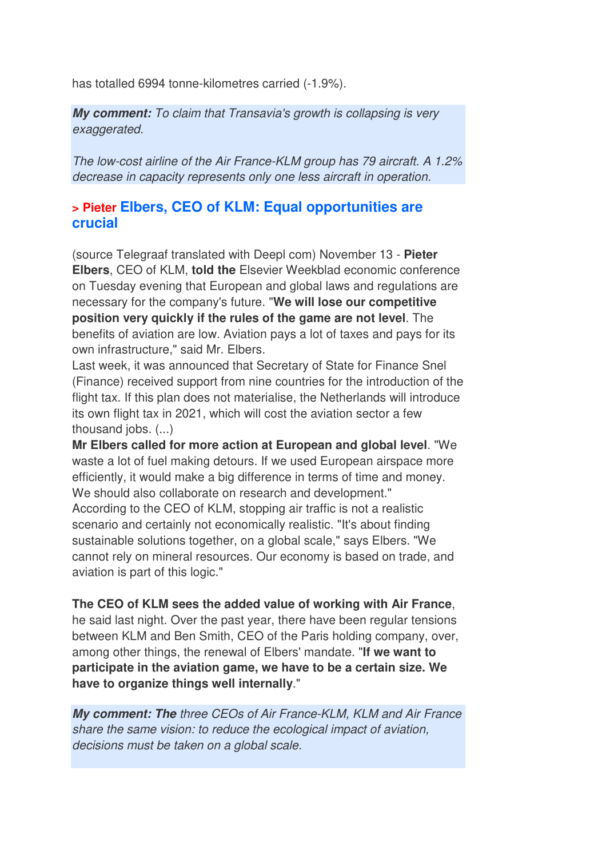has totalled 6994 tonne-kilometres carried (-1.9%).

*My comment:* To claim that Transavia's growth is collapsing is very exaggerated.

The low-cost airline of the Air France-KLM group has 79 aircraft. A 1.2% decrease in capacity represents only one less aircraft in operation.

#### **> Pieter Elbers, CEO of KLM: Equal opportunities are crucial**

(source Telegraaf translated with Deepl com) November 13 - **Pieter Elbers**, CEO of KLM, **told the** Elsevier Weekblad economic conference on Tuesday evening that European and global laws and regulations are necessary for the company's future. "**We will lose our competitive position very quickly if the rules of the game are not level**. The benefits of aviation are low. Aviation pays a lot of taxes and pays for its own infrastructure," said Mr. Elbers.

Last week, it was announced that Secretary of State for Finance Snel (Finance) received support from nine countries for the introduction of the flight tax. If this plan does not materialise, the Netherlands will introduce its own flight tax in 2021, which will cost the aviation sector a few thousand jobs. (...)

**Mr Elbers called for more action at European and global level**. "We waste a lot of fuel making detours. If we used European airspace more efficiently, it would make a big difference in terms of time and money. We should also collaborate on research and development." According to the CEO of KLM, stopping air traffic is not a realistic scenario and certainly not economically realistic. "It's about finding sustainable solutions together, on a global scale," says Elbers. "We cannot rely on mineral resources. Our economy is based on trade, and aviation is part of this logic."

**The CEO of KLM sees the added value of working with Air France**, he said last night. Over the past year, there have been regular tensions between KLM and Ben Smith, CEO of the Paris holding company, over, among other things, the renewal of Elbers' mandate. "**If we want to participate in the aviation game, we have to be a certain size. We have to organize things well internally**."

*My comment: The* three CEOs of Air France-KLM, KLM and Air France share the same vision: to reduce the ecological impact of aviation, decisions must be taken on a global scale.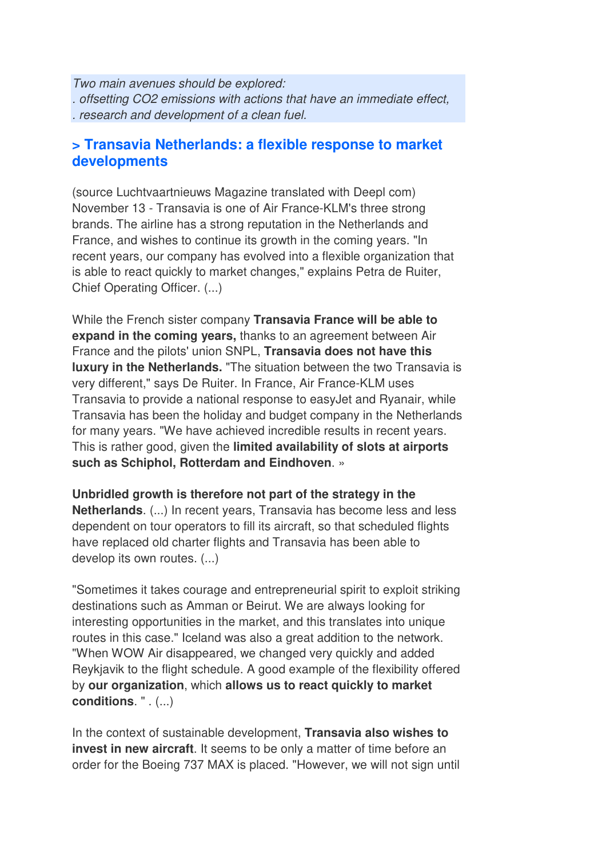Two main avenues should be explored: . offsetting CO2 emissions with actions that have an immediate effect, . research and development of a clean fuel.

#### **> Transavia Netherlands: a flexible response to market developments**

(source Luchtvaartnieuws Magazine translated with Deepl com) November 13 - Transavia is one of Air France-KLM's three strong brands. The airline has a strong reputation in the Netherlands and France, and wishes to continue its growth in the coming years. "In recent years, our company has evolved into a flexible organization that is able to react quickly to market changes," explains Petra de Ruiter, Chief Operating Officer. (...)

While the French sister company **Transavia France will be able to expand in the coming years,** thanks to an agreement between Air France and the pilots' union SNPL, **Transavia does not have this luxury in the Netherlands.** "The situation between the two Transavia is very different," says De Ruiter. In France, Air France-KLM uses Transavia to provide a national response to easyJet and Ryanair, while Transavia has been the holiday and budget company in the Netherlands for many years. "We have achieved incredible results in recent years. This is rather good, given the **limited availability of slots at airports such as Schiphol, Rotterdam and Eindhoven**. »

**Unbridled growth is therefore not part of the strategy in the Netherlands**. (...) In recent years, Transavia has become less and less dependent on tour operators to fill its aircraft, so that scheduled flights have replaced old charter flights and Transavia has been able to develop its own routes. (...)

"Sometimes it takes courage and entrepreneurial spirit to exploit striking destinations such as Amman or Beirut. We are always looking for interesting opportunities in the market, and this translates into unique routes in this case." Iceland was also a great addition to the network. "When WOW Air disappeared, we changed very quickly and added Reykjavik to the flight schedule. A good example of the flexibility offered by **our organization**, which **allows us to react quickly to market conditions**. " . (...)

In the context of sustainable development, **Transavia also wishes to invest in new aircraft**. It seems to be only a matter of time before an order for the Boeing 737 MAX is placed. "However, we will not sign until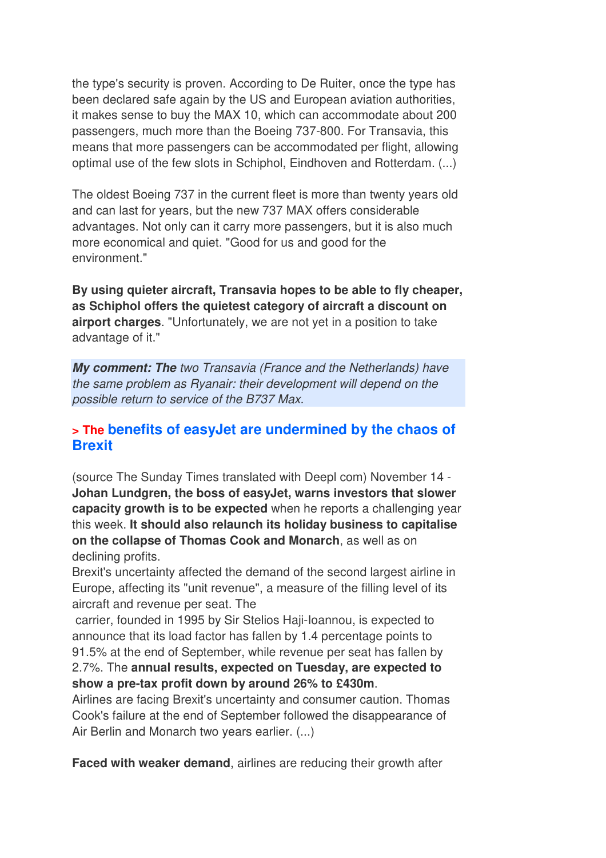the type's security is proven. According to De Ruiter, once the type has been declared safe again by the US and European aviation authorities, it makes sense to buy the MAX 10, which can accommodate about 200 passengers, much more than the Boeing 737-800. For Transavia, this means that more passengers can be accommodated per flight, allowing optimal use of the few slots in Schiphol, Eindhoven and Rotterdam. (...)

The oldest Boeing 737 in the current fleet is more than twenty years old and can last for years, but the new 737 MAX offers considerable advantages. Not only can it carry more passengers, but it is also much more economical and quiet. "Good for us and good for the environment."

**By using quieter aircraft, Transavia hopes to be able to fly cheaper, as Schiphol offers the quietest category of aircraft a discount on airport charges**. "Unfortunately, we are not yet in a position to take advantage of it."

*My comment: The* two Transavia (France and the Netherlands) have the same problem as Ryanair: their development will depend on the possible return to service of the B737 Max.

#### **> The benefits of easyJet are undermined by the chaos of Brexit**

(source The Sunday Times translated with Deepl com) November 14 - **Johan Lundgren, the boss of easyJet, warns investors that slower capacity growth is to be expected** when he reports a challenging year this week. **It should also relaunch its holiday business to capitalise on the collapse of Thomas Cook and Monarch**, as well as on declining profits.

Brexit's uncertainty affected the demand of the second largest airline in Europe, affecting its "unit revenue", a measure of the filling level of its aircraft and revenue per seat. The

 carrier, founded in 1995 by Sir Stelios Haji-Ioannou, is expected to announce that its load factor has fallen by 1.4 percentage points to 91.5% at the end of September, while revenue per seat has fallen by 2.7%. The **annual results, expected on Tuesday, are expected to show a pre-tax profit down by around 26% to £430m**.

Airlines are facing Brexit's uncertainty and consumer caution. Thomas Cook's failure at the end of September followed the disappearance of Air Berlin and Monarch two years earlier. (...)

**Faced with weaker demand**, airlines are reducing their growth after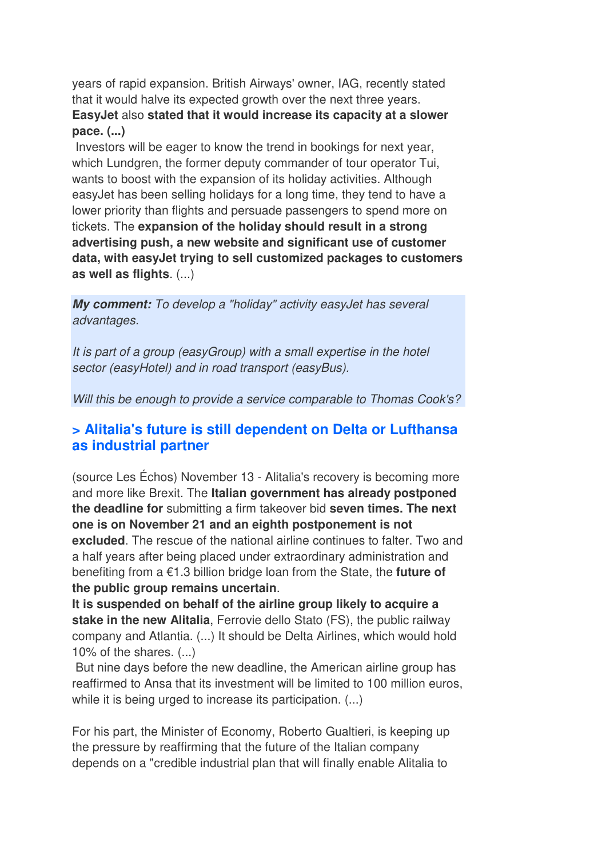years of rapid expansion. British Airways' owner, IAG, recently stated that it would halve its expected growth over the next three years. **EasyJet** also **stated that it would increase its capacity at a slower pace. (...)**

 Investors will be eager to know the trend in bookings for next year, which Lundgren, the former deputy commander of tour operator Tui, wants to boost with the expansion of its holiday activities. Although easyJet has been selling holidays for a long time, they tend to have a lower priority than flights and persuade passengers to spend more on tickets. The **expansion of the holiday should result in a strong advertising push, a new website and significant use of customer data, with easyJet trying to sell customized packages to customers as well as flights**. (...)

*My comment:* To develop a "holiday" activity easyJet has several advantages.

It is part of a group (easyGroup) with a small expertise in the hotel sector (easyHotel) and in road transport (easyBus).

Will this be enough to provide a service comparable to Thomas Cook's?

#### **> Alitalia's future is still dependent on Delta or Lufthansa as industrial partner**

(source Les Échos) November 13 - Alitalia's recovery is becoming more and more like Brexit. The **Italian government has already postponed the deadline for** submitting a firm takeover bid **seven times. The next one is on November 21 and an eighth postponement is not excluded**. The rescue of the national airline continues to falter. Two and a half years after being placed under extraordinary administration and benefiting from a €1.3 billion bridge loan from the State, the **future of the public group remains uncertain**.

**It is suspended on behalf of the airline group likely to acquire a stake in the new Alitalia**, Ferrovie dello Stato (FS), the public railway company and Atlantia. (...) It should be Delta Airlines, which would hold 10% of the shares. (...)

 But nine days before the new deadline, the American airline group has reaffirmed to Ansa that its investment will be limited to 100 million euros, while it is being urged to increase its participation. (...)

For his part, the Minister of Economy, Roberto Gualtieri, is keeping up the pressure by reaffirming that the future of the Italian company depends on a "credible industrial plan that will finally enable Alitalia to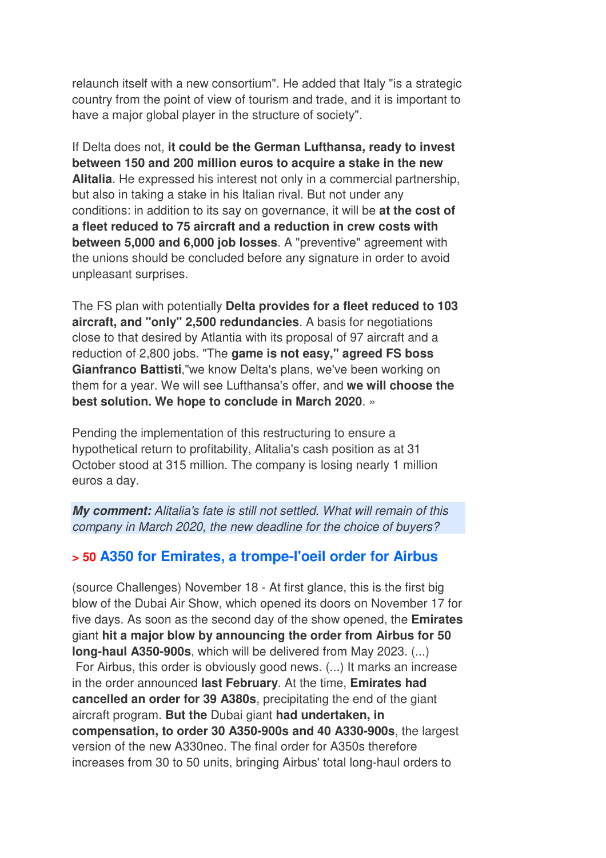relaunch itself with a new consortium". He added that Italy "is a strategic country from the point of view of tourism and trade, and it is important to have a major global player in the structure of society".

If Delta does not, **it could be the German Lufthansa, ready to invest between 150 and 200 million euros to acquire a stake in the new Alitalia**. He expressed his interest not only in a commercial partnership, but also in taking a stake in his Italian rival. But not under any conditions: in addition to its say on governance, it will be **at the cost of a fleet reduced to 75 aircraft and a reduction in crew costs with between 5,000 and 6,000 job losses**. A "preventive" agreement with the unions should be concluded before any signature in order to avoid unpleasant surprises.

The FS plan with potentially **Delta provides for a fleet reduced to 103 aircraft, and "only" 2,500 redundancies**. A basis for negotiations close to that desired by Atlantia with its proposal of 97 aircraft and a reduction of 2,800 jobs. "The **game is not easy," agreed FS boss Gianfranco Battisti**,"we know Delta's plans, we've been working on them for a year. We will see Lufthansa's offer, and **we will choose the best solution. We hope to conclude in March 2020**. »

Pending the implementation of this restructuring to ensure a hypothetical return to profitability, Alitalia's cash position as at 31 October stood at 315 million. The company is losing nearly 1 million euros a day.

*My comment:* Alitalia's fate is still not settled. What will remain of this company in March 2020, the new deadline for the choice of buyers?

# **> 50 A350 for Emirates, a trompe-l'oeil order for Airbus**

(source Challenges) November 18 - At first glance, this is the first big blow of the Dubai Air Show, which opened its doors on November 17 for five days. As soon as the second day of the show opened, the **Emirates** giant **hit a major blow by announcing the order from Airbus for 50 long-haul A350-900s**, which will be delivered from May 2023. (...) For Airbus, this order is obviously good news. (...) It marks an increase in the order announced **last February**. At the time, **Emirates had cancelled an order for 39 A380s**, precipitating the end of the giant aircraft program. **But the** Dubai giant **had undertaken, in compensation, to order 30 A350-900s and 40 A330-900s**, the largest version of the new A330neo. The final order for A350s therefore increases from 30 to 50 units, bringing Airbus' total long-haul orders to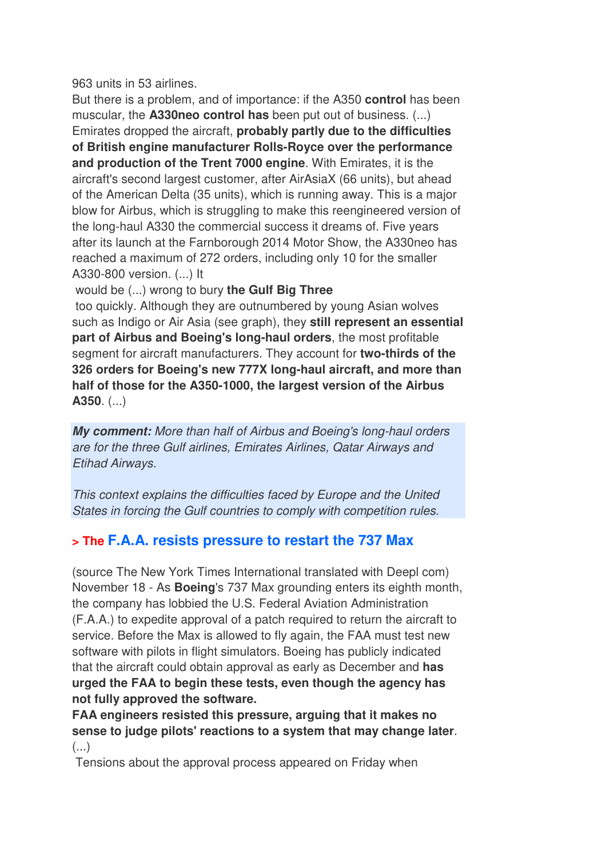963 units in 53 airlines.

But there is a problem, and of importance: if the A350 **control** has been muscular, the **A330neo control has** been put out of business. (...) Emirates dropped the aircraft, **probably partly due to the difficulties of British engine manufacturer Rolls-Royce over the performance and production of the Trent 7000 engine**. With Emirates, it is the aircraft's second largest customer, after AirAsiaX (66 units), but ahead of the American Delta (35 units), which is running away. This is a major blow for Airbus, which is struggling to make this reengineered version of the long-haul A330 the commercial success it dreams of. Five years after its launch at the Farnborough 2014 Motor Show, the A330neo has reached a maximum of 272 orders, including only 10 for the smaller A330-800 version. (...) It

would be (...) wrong to bury **the Gulf Big Three**

 too quickly. Although they are outnumbered by young Asian wolves such as Indigo or Air Asia (see graph), they **still represent an essential part of Airbus and Boeing's long-haul orders**, the most profitable segment for aircraft manufacturers. They account for **two-thirds of the 326 orders for Boeing's new 777X long-haul aircraft, and more than half of those for the A350-1000, the largest version of the Airbus A350**. (...)

*My comment:* More than half of Airbus and Boeing's long-haul orders are for the three Gulf airlines, Emirates Airlines, Qatar Airways and Etihad Airways.

This context explains the difficulties faced by Europe and the United States in forcing the Gulf countries to comply with competition rules.

# **> The F.A.A. resists pressure to restart the 737 Max**

(source The New York Times International translated with Deepl com) November 18 - As **Boeing**'s 737 Max grounding enters its eighth month, the company has lobbied the U.S. Federal Aviation Administration (F.A.A.) to expedite approval of a patch required to return the aircraft to service. Before the Max is allowed to fly again, the FAA must test new software with pilots in flight simulators. Boeing has publicly indicated that the aircraft could obtain approval as early as December and **has urged the FAA to begin these tests, even though the agency has not fully approved the software.** 

**FAA engineers resisted this pressure, arguing that it makes no sense to judge pilots' reactions to a system that may change later**. (...)

Tensions about the approval process appeared on Friday when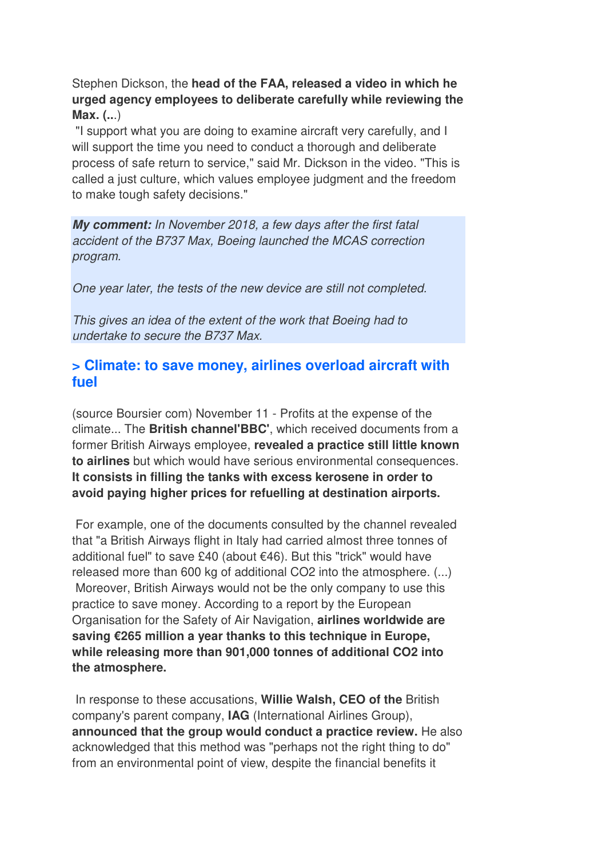Stephen Dickson, the **head of the FAA, released a video in which he urged agency employees to deliberate carefully while reviewing the Max. (..**.)

 "I support what you are doing to examine aircraft very carefully, and I will support the time you need to conduct a thorough and deliberate process of safe return to service," said Mr. Dickson in the video. "This is called a just culture, which values employee judgment and the freedom to make tough safety decisions."

*My comment:* In November 2018, a few days after the first fatal accident of the B737 Max, Boeing launched the MCAS correction program.

One year later, the tests of the new device are still not completed.

This gives an idea of the extent of the work that Boeing had to undertake to secure the B737 Max.

### **> Climate: to save money, airlines overload aircraft with fuel**

(source Boursier com) November 11 - Profits at the expense of the climate... The **British channel'BBC'**, which received documents from a former British Airways employee, **revealed a practice still little known to airlines** but which would have serious environmental consequences. **It consists in filling the tanks with excess kerosene in order to avoid paying higher prices for refuelling at destination airports.** 

 For example, one of the documents consulted by the channel revealed that "a British Airways flight in Italy had carried almost three tonnes of additional fuel" to save £40 (about €46). But this "trick" would have released more than 600 kg of additional CO2 into the atmosphere. (...) Moreover, British Airways would not be the only company to use this practice to save money. According to a report by the European Organisation for the Safety of Air Navigation, **airlines worldwide are saving €265 million a year thanks to this technique in Europe, while releasing more than 901,000 tonnes of additional CO2 into the atmosphere.** 

 In response to these accusations, **Willie Walsh, CEO of the** British company's parent company, **IAG** (International Airlines Group), **announced that the group would conduct a practice review.** He also acknowledged that this method was "perhaps not the right thing to do" from an environmental point of view, despite the financial benefits it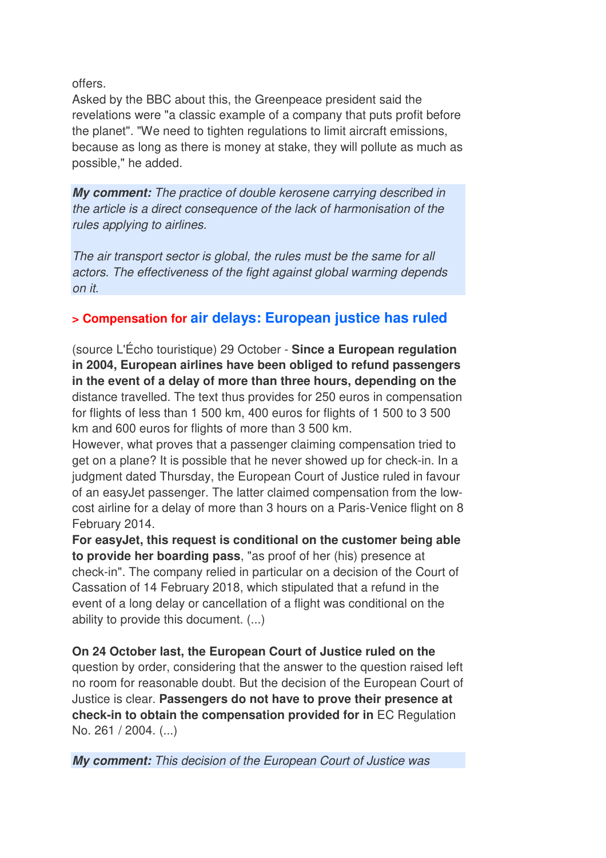offers.

Asked by the BBC about this, the Greenpeace president said the revelations were "a classic example of a company that puts profit before the planet". "We need to tighten regulations to limit aircraft emissions, because as long as there is money at stake, they will pollute as much as possible," he added.

*My comment:* The practice of double kerosene carrying described in the article is a direct consequence of the lack of harmonisation of the rules applying to airlines.

The air transport sector is global, the rules must be the same for all actors. The effectiveness of the fight against global warming depends on it.

# **> Compensation for air delays: European justice has ruled**

(source L'Écho touristique) 29 October - **Since a European regulation in 2004, European airlines have been obliged to refund passengers in the event of a delay of more than three hours, depending on the** distance travelled. The text thus provides for 250 euros in compensation for flights of less than 1 500 km, 400 euros for flights of 1 500 to 3 500 km and 600 euros for flights of more than 3 500 km.

However, what proves that a passenger claiming compensation tried to get on a plane? It is possible that he never showed up for check-in. In a judgment dated Thursday, the European Court of Justice ruled in favour of an easyJet passenger. The latter claimed compensation from the lowcost airline for a delay of more than 3 hours on a Paris-Venice flight on 8 February 2014.

**For easyJet, this request is conditional on the customer being able to provide her boarding pass**, "as proof of her (his) presence at check-in". The company relied in particular on a decision of the Court of Cassation of 14 February 2018, which stipulated that a refund in the event of a long delay or cancellation of a flight was conditional on the ability to provide this document. (...)

**On 24 October last, the European Court of Justice ruled on the** question by order, considering that the answer to the question raised left no room for reasonable doubt. But the decision of the European Court of Justice is clear. **Passengers do not have to prove their presence at check-in to obtain the compensation provided for in** EC Regulation No. 261 / 2004. (...)

*My comment:* This decision of the European Court of Justice was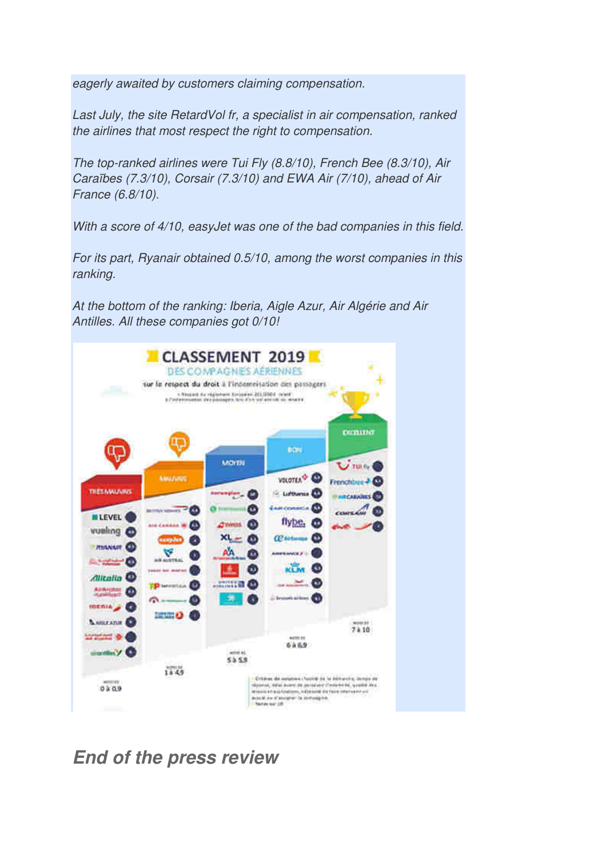eagerly awaited by customers claiming compensation.

Last July, the site RetardVol fr, a specialist in air compensation, ranked the airlines that most respect the right to compensation.

The top-ranked airlines were Tui Fly (8.8/10), French Bee (8.3/10), Air Caraïbes (7.3/10), Corsair (7.3/10) and EWA Air (7/10), ahead of Air France (6.8/10).

With a score of  $4/10$ , easyJet was one of the bad companies in this field.

For its part, Ryanair obtained 0.5/10, among the worst companies in this ranking.

At the bottom of the ranking: Iberia, Aigle Azur, Air Algérie and Air Antilles. All these companies got 0/10!



*End of the press review*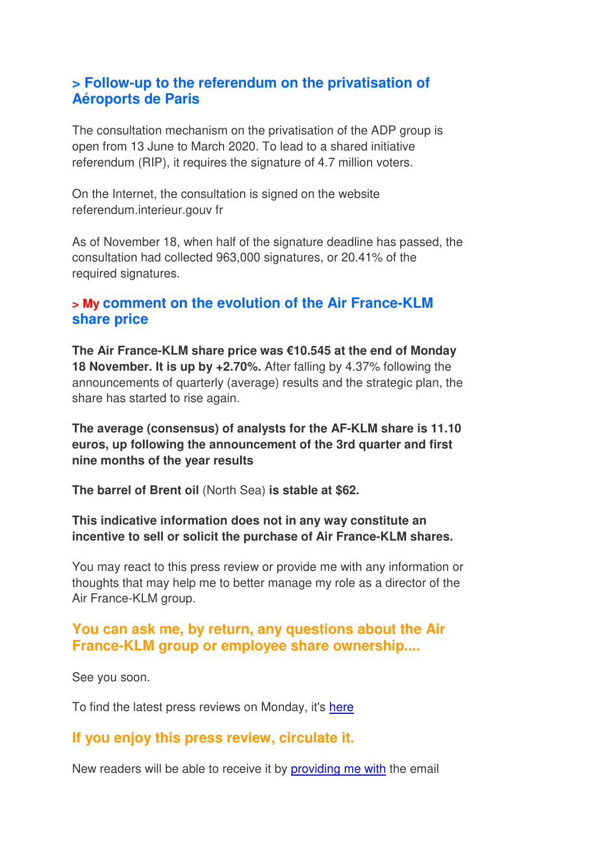#### **> Follow-up to the referendum on the privatisation of Aéroports de Paris**

The consultation mechanism on the privatisation of the ADP group is open from 13 June to March 2020. To lead to a shared initiative referendum (RIP), it requires the signature of 4.7 million voters.

On the Internet, the consultation is signed on the website referendum.interieur.gouv fr

As of November 18, when half of the signature deadline has passed, the consultation had collected 963,000 signatures, or 20.41% of the required signatures.

# **> My comment on the evolution of the Air France-KLM share price**

**The Air France-KLM share price was €10.545 at the end of Monday 18 November. It is up by +2.70%.** After falling by 4.37% following the announcements of quarterly (average) results and the strategic plan, the share has started to rise again.

**The average (consensus) of analysts for the AF-KLM share is 11.10 euros, up following the announcement of the 3rd quarter and first nine months of the year results**

**The barrel of Brent oil** (North Sea) **is stable at \$62.**

**This indicative information does not in any way constitute an incentive to sell or solicit the purchase of Air France-KLM shares.**

You may react to this press review or provide me with any information or thoughts that may help me to better manage my role as a director of the Air France-KLM group.

#### **You can ask me, by return, any questions about the Air France-KLM group or employee share ownership....**

See you soon.

To find the latest press reviews on Monday, it's here

#### **If you enjoy this press review, circulate it.**

New readers will be able to receive it by providing me with the email